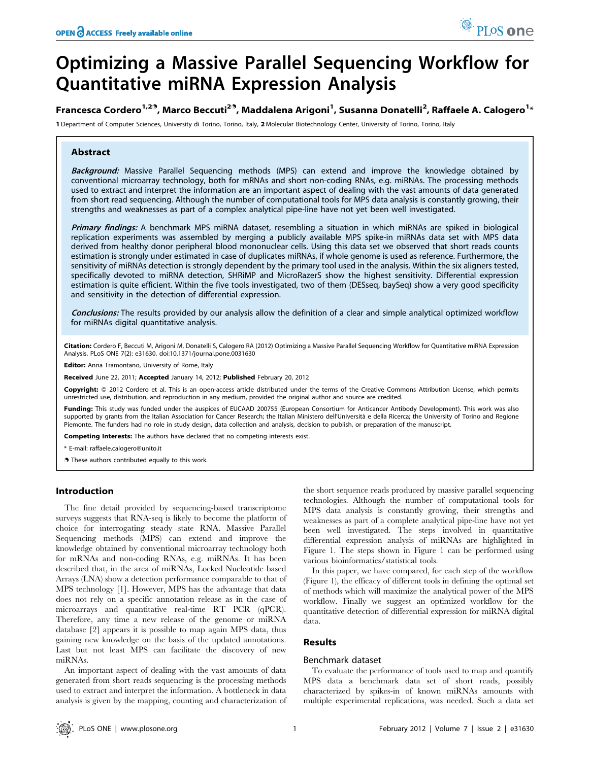# Optimizing a Massive Parallel Sequencing Workflow for Quantitative miRNA Expression Analysis

## Francesca Cordero<sup>1,29</sup>, Marco Beccuti<sup>29</sup>, Maddalena Arigoni<sup>1</sup>, Susanna Donatelli<sup>2</sup>, Raffaele A. Calogero<sup>1</sup>\*

1 Department of Computer Sciences, University di Torino, Torino, Italy, 2 Molecular Biotechnology Center, University of Torino, Torino, Italy

## Abstract

Background: Massive Parallel Sequencing methods (MPS) can extend and improve the knowledge obtained by conventional microarray technology, both for mRNAs and short non-coding RNAs, e.g. miRNAs. The processing methods used to extract and interpret the information are an important aspect of dealing with the vast amounts of data generated from short read sequencing. Although the number of computational tools for MPS data analysis is constantly growing, their strengths and weaknesses as part of a complex analytical pipe-line have not yet been well investigated.

Primary findings: A benchmark MPS miRNA dataset, resembling a situation in which miRNAs are spiked in biological replication experiments was assembled by merging a publicly available MPS spike-in miRNAs data set with MPS data derived from healthy donor peripheral blood mononuclear cells. Using this data set we observed that short reads counts estimation is strongly under estimated in case of duplicates miRNAs, if whole genome is used as reference. Furthermore, the sensitivity of miRNAs detection is strongly dependent by the primary tool used in the analysis. Within the six aligners tested, specifically devoted to miRNA detection, SHRiMP and MicroRazerS show the highest sensitivity. Differential expression estimation is quite efficient. Within the five tools investigated, two of them (DESseq, baySeq) show a very good specificity and sensitivity in the detection of differential expression.

Conclusions: The results provided by our analysis allow the definition of a clear and simple analytical optimized workflow for miRNAs digital quantitative analysis.

Citation: Cordero F, Beccuti M, Arigoni M, Donatelli S, Calogero RA (2012) Optimizing a Massive Parallel Sequencing Workflow for Quantitative miRNA Expression Analysis. PLoS ONE 7(2): e31630. doi:10.1371/journal.pone.0031630

Editor: Anna Tramontano, University of Rome, Italy

Received June 22, 2011; Accepted January 14, 2012; Published February 20, 2012

**Copyright:** © 2012 Cordero et al. This is an open-access article distributed under the terms of the Creative Commons Attribution License, which permits unrestricted use, distribution, and reproduction in any medium, provided the original author and source are credited.

Funding: This study was funded under the auspices of EUCAAD 200755 (European Consortium for Anticancer Antibody Development). This work was also supported by grants from the Italian Association for Cancer Research; the Italian Ministero dell'Università e della Ricerca; the University of Torino and Regione Piemonte. The funders had no role in study design, data collection and analysis, decision to publish, or preparation of the manuscript.

Competing Interests: The authors have declared that no competing interests exist.

\* E-mail: raffaele.calogero@unito.it

. These authors contributed equally to this work.

#### Introduction

The fine detail provided by sequencing-based transcriptome surveys suggests that RNA-seq is likely to become the platform of choice for interrogating steady state RNA. Massive Parallel Sequencing methods (MPS) can extend and improve the knowledge obtained by conventional microarray technology both for mRNAs and non-coding RNAs, e.g. miRNAs. It has been described that, in the area of miRNAs, Locked Nucleotide based Arrays (LNA) show a detection performance comparable to that of MPS technology [1]. However, MPS has the advantage that data does not rely on a specific annotation release as in the case of microarrays and quantitative real-time RT PCR (qPCR). Therefore, any time a new release of the genome or miRNA database [2] appears it is possible to map again MPS data, thus gaining new knowledge on the basis of the updated annotations. Last but not least MPS can facilitate the discovery of new miRNAs.

An important aspect of dealing with the vast amounts of data generated from short reads sequencing is the processing methods used to extract and interpret the information. A bottleneck in data analysis is given by the mapping, counting and characterization of

the short sequence reads produced by massive parallel sequencing technologies. Although the number of computational tools for MPS data analysis is constantly growing, their strengths and weaknesses as part of a complete analytical pipe-line have not yet been well investigated. The steps involved in quantitative differential expression analysis of miRNAs are highlighted in Figure 1. The steps shown in Figure 1 can be performed using various bioinformatics/statistical tools.

In this paper, we have compared, for each step of the workflow (Figure 1), the efficacy of different tools in defining the optimal set of methods which will maximize the analytical power of the MPS workflow. Finally we suggest an optimized workflow for the quantitative detection of differential expression for miRNA digital data.

## Results

## Benchmark dataset

To evaluate the performance of tools used to map and quantify MPS data a benchmark data set of short reads, possibly characterized by spikes-in of known miRNAs amounts with multiple experimental replications, was needed. Such a data set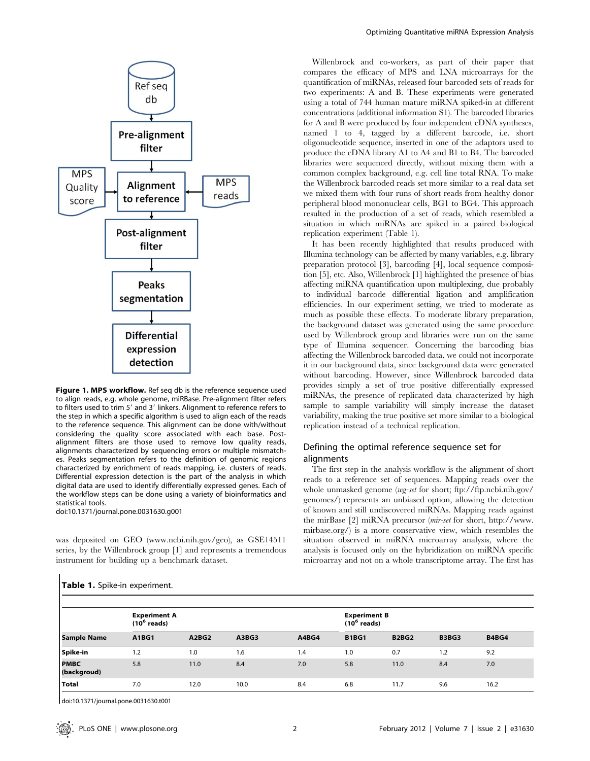

Figure 1. MPS workflow. Ref seq db is the reference sequence used to align reads, e.g. whole genome, miRBase. Pre-alignment filter refers to filters used to trim 5' and 3' linkers. Alignment to reference refers to the step in which a specific algorithm is used to align each of the reads to the reference sequence. This alignment can be done with/without considering the quality score associated with each base. Postalignment filters are those used to remove low quality reads, alignments characterized by sequencing errors or multiple mismatches. Peaks segmentation refers to the definition of genomic regions characterized by enrichment of reads mapping, i.e. clusters of reads. Differential expression detection is the part of the analysis in which digital data are used to identify differentially expressed genes. Each of the workflow steps can be done using a variety of bioinformatics and statistical tools.

doi:10.1371/journal.pone.0031630.g001

was deposited on GEO (www.ncbi.nih.gov/geo), as GSE14511 series, by the Willenbrock group [1] and represents a tremendous instrument for building up a benchmark dataset.

Table 1. Spike-in experiment.

Willenbrock and co-workers, as part of their paper that compares the efficacy of MPS and LNA microarrays for the quantification of miRNAs, released four barcoded sets of reads for two experiments: A and B. These experiments were generated using a total of 744 human mature miRNA spiked-in at different concentrations (additional information S1). The barcoded libraries for A and B were produced by four independent cDNA syntheses, named 1 to 4, tagged by a different barcode, i.e. short oligonucleotide sequence, inserted in one of the adaptors used to produce the cDNA library A1 to A4 and B1 to B4. The barcoded libraries were sequenced directly, without mixing them with a common complex background, e.g. cell line total RNA. To make the Willenbrock barcoded reads set more similar to a real data set we mixed them with four runs of short reads from healthy donor peripheral blood mononuclear cells, BG1 to BG4. This approach resulted in the production of a set of reads, which resembled a situation in which miRNAs are spiked in a paired biological replication experiment (Table 1).

It has been recently highlighted that results produced with Illumina technology can be affected by many variables, e.g. library preparation protocol [3], barcoding [4], local sequence composition [5], etc. Also, Willenbrock [1] highlighted the presence of bias affecting miRNA quantification upon multiplexing, due probably to individual barcode differential ligation and amplification efficiencies. In our experiment setting, we tried to moderate as much as possible these effects. To moderate library preparation, the background dataset was generated using the same procedure used by Willenbrock group and libraries were run on the same type of Illumina sequencer. Concerning the barcoding bias affecting the Willenbrock barcoded data, we could not incorporate it in our background data, since background data were generated without barcoding. However, since Willenbrock barcoded data provides simply a set of true positive differentially expressed miRNAs, the presence of replicated data characterized by high sample to sample variability will simply increase the dataset variability, making the true positive set more similar to a biological replication instead of a technical replication.

## Defining the optimal reference sequence set for alignments

The first step in the analysis workflow is the alignment of short reads to a reference set of sequences. Mapping reads over the whole unmasked genome (wg-set for short; ftp://ftp.ncbi.nih.gov/ genomes/) represents an unbiased option, allowing the detection of known and still undiscovered miRNAs. Mapping reads against the mirBase [2] miRNA precursor (mir-set for short, http://www. mirbase.org/) is a more conservative view, which resembles the situation observed in miRNA microarray analysis, where the analysis is focused only on the hybridization on miRNA specific microarray and not on a whole transcriptome array. The first has

|                            | <b>Experiment A</b><br>$(106$ reads) |       |       | <b>Experiment B</b><br>$(10^6 \text{ reads})$ |              |              |       |              |
|----------------------------|--------------------------------------|-------|-------|-----------------------------------------------|--------------|--------------|-------|--------------|
| <b>Sample Name</b>         | A1BG1                                | A2BG2 | A3BG3 | A4BG4                                         | <b>B1BG1</b> | <b>B2BG2</b> | B3BG3 | <b>B4BG4</b> |
| Spike-in                   | 1.2                                  | 1.0   | 1.6   | 1.4                                           | 1.0          | 0.7          | 1.2   | 9.2          |
| <b>PMBC</b><br>(backgroud) | 5.8                                  | 11.0  | 8.4   | 7.0                                           | 5.8          | 11.0         | 8.4   | 7.0          |
| <b>Total</b>               | 7.0                                  | 12.0  | 10.0  | 8.4                                           | 6.8          | 11.7         | 9.6   | 16.2         |

doi:10.1371/journal.pone.0031630.t001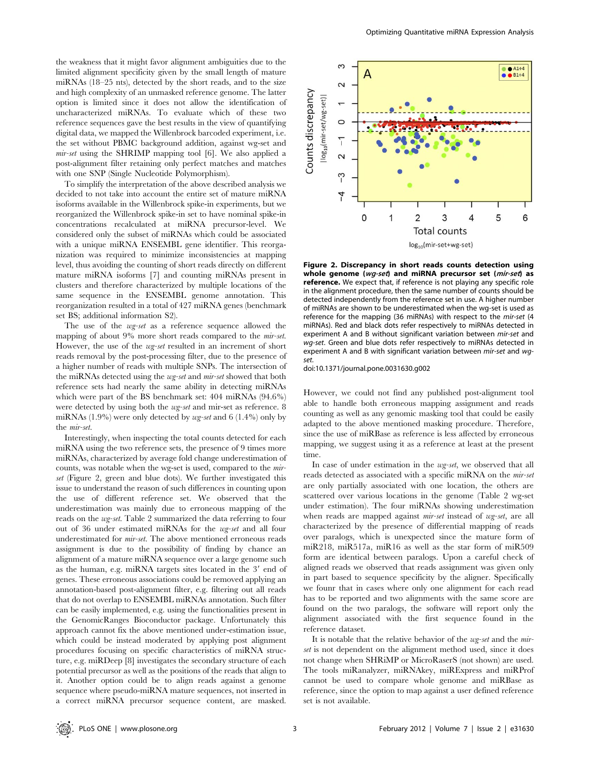the weakness that it might favor alignment ambiguities due to the limited alignment specificity given by the small length of mature miRNAs (18–25 nts), detected by the short reads, and to the size and high complexity of an unmasked reference genome. The latter option is limited since it does not allow the identification of uncharacterized miRNAs. To evaluate which of these two reference sequences gave the best results in the view of quantifying digital data, we mapped the Willenbrock barcoded experiment, i.e. the set without PBMC background addition, against wg-set and mir-set using the SHRIMP mapping tool [6]. We also applied a post-alignment filter retaining only perfect matches and matches with one SNP (Single Nucleotide Polymorphism).

To simplify the interpretation of the above described analysis we decided to not take into account the entire set of mature miRNA isoforms available in the Willenbrock spike-in experiments, but we reorganized the Willenbrock spike-in set to have nominal spike-in concentrations recalculated at miRNA precursor-level. We considered only the subset of miRNAs which could be associated with a unique miRNA ENSEMBL gene identifier. This reorganization was required to minimize inconsistencies at mapping level, thus avoiding the counting of short reads directly on different mature miRNA isoforms [7] and counting miRNAs present in clusters and therefore characterized by multiple locations of the same sequence in the ENSEMBL genome annotation. This reorganization resulted in a total of 427 miRNA genes (benchmark set BS; additional information S2).

The use of the *wg-set* as a reference sequence allowed the mapping of about 9% more short reads compared to the mir-set. However, the use of the wg-set resulted in an increment of short reads removal by the post-processing filter, due to the presence of a higher number of reads with multiple SNPs. The intersection of the miRNAs detected using the *wg-set* and *mir-set* showed that both reference sets had nearly the same ability in detecting miRNAs which were part of the BS benchmark set: 404 miRNAs (94.6%) were detected by using both the wg-set and mir-set as reference. 8 miRNAs  $(1.9\%)$  were only detected by *wg-set* and 6  $(1.4\%)$  only by the mir-set.

Interestingly, when inspecting the total counts detected for each miRNA using the two reference sets, the presence of 9 times more miRNAs, characterized by average fold change underestimation of counts, was notable when the wg-set is used, compared to the mirset (Figure 2, green and blue dots). We further investigated this issue to understand the reason of such differences in counting upon the use of different reference set. We observed that the underestimation was mainly due to erroneous mapping of the reads on the wg-set. Table 2 summarized the data referring to four out of 36 under estimated miRNAs for the wg-set and all four underestimated for mir-set. The above mentioned erroneous reads assignment is due to the possibility of finding by chance an alignment of a mature miRNA sequence over a large genome such as the human, e.g. miRNA targets sites located in the  $3'$  end of genes. These erroneous associations could be removed applying an annotation-based post-alignment filter, e.g. filtering out all reads that do not overlap to ENSEMBL miRNAs annotation. Such filter can be easily implemented, e.g. using the functionalities present in the GenomicRanges Bioconductor package. Unfortunately this approach cannot fix the above mentioned under-estimation issue, which could be instead moderated by applying post alignment procedures focusing on specific characteristics of miRNA structure, e.g. miRDeep [8] investigates the secondary structure of each potential precursor as well as the positions of the reads that align to it. Another option could be to align reads against a genome sequence where pseudo-miRNA mature sequences, not inserted in a correct miRNA precursor sequence content, are masked.



Figure 2. Discrepancy in short reads counts detection using whole genome (wg-set) and miRNA precursor set (mir-set) as reference. We expect that, if reference is not playing any specific role in the alignment procedure, then the same number of counts should be detected independently from the reference set in use. A higher number of miRNAs are shown to be underestimated when the wg-set is used as reference for the mapping (36 miRNAs) with respect to the mir-set (4 miRNAs). Red and black dots refer respectively to miRNAs detected in experiment A and B without significant variation between mir-set and wg-set. Green and blue dots refer respectively to miRNAs detected in experiment A and B with significant variation between mir-set and wgset.

doi:10.1371/journal.pone.0031630.g002

However, we could not find any published post-alignment tool able to handle both erroneous mapping assignment and reads counting as well as any genomic masking tool that could be easily adapted to the above mentioned masking procedure. Therefore, since the use of miRBase as reference is less affected by erroneous mapping, we suggest using it as a reference at least at the present time.

In case of under estimation in the *wg-set*, we observed that all reads detected as associated with a specific miRNA on the mir-set are only partially associated with one location, the others are scattered over various locations in the genome (Table 2 wg-set under estimation). The four miRNAs showing underestimation when reads are mapped against *mir-set* instead of wg-set, are all characterized by the presence of differential mapping of reads over paralogs, which is unexpected since the mature form of miR218, miR517a, miR16 as well as the star form of miR509 form are identical between paralogs. Upon a careful check of aligned reads we observed that reads assignment was given only in part based to sequence specificity by the aligner. Specifically we founr that in cases where only one alignment for each read has to be reported and two alignments with the same score are found on the two paralogs, the software will report only the alignment associated with the first sequence found in the reference dataset.

It is notable that the relative behavior of the *wg-set* and the *mir*set is not dependent on the alignment method used, since it does not change when SHRiMP or MicroRaserS (not shown) are used. The tools miRanalyzer, miRNAkey, miRExpress and miRProf cannot be used to compare whole genome and miRBase as reference, since the option to map against a user defined reference set is not available.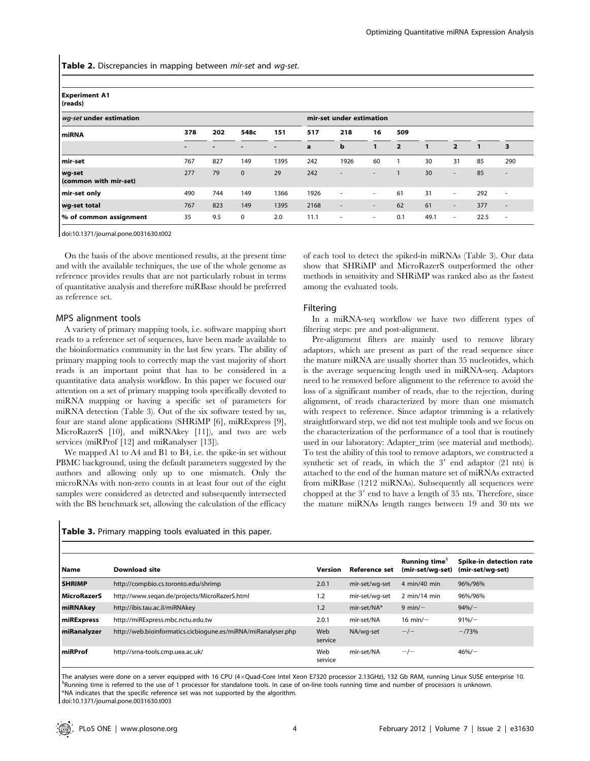Table 2. Discrepancies in mapping between mir-set and wg-set.

| <b>Experiment A1</b><br>(reads) |                          |     |              |                          |      |                          |        |                |              |                          |      |                          |
|---------------------------------|--------------------------|-----|--------------|--------------------------|------|--------------------------|--------|----------------|--------------|--------------------------|------|--------------------------|
| wg-set under estimation         | mir-set under estimation |     |              |                          |      |                          |        |                |              |                          |      |                          |
| miRNA                           | 378                      | 202 | 548c         | 151                      | 517  | 218                      | 16     | 509            |              |                          |      |                          |
|                                 | $\overline{\phantom{a}}$ |     |              | $\overline{\phantom{a}}$ | a    | $\mathbf b$              |        | $\overline{2}$ | $\mathbf{1}$ | $\overline{2}$           |      | 3                        |
| mir-set                         | 767                      | 827 | 149          | 1395                     | 242  | 1926                     | 60     |                | 30           | 31                       | 85   | 290                      |
| wg-set<br>(common with mir-set) | 277                      | 79  | $\mathbf{0}$ | 29                       | 242  | $\overline{\phantom{a}}$ | $\sim$ | $\mathbf{1}$   | 30           | $\overline{\phantom{a}}$ | 85   | $\sim$                   |
| mir-set only                    | 490                      | 744 | 149          | 1366                     | 1926 | $\overline{\phantom{a}}$ | $\sim$ | 61             | 31           | $\sim$                   | 292  | $\overline{\phantom{a}}$ |
| wg-set total                    | 767                      | 823 | 149          | 1395                     | 2168 | $\overline{\phantom{a}}$ | $\sim$ | 62             | 61           | $\overline{\phantom{a}}$ | 377  | $\sim$                   |
| % of common assignment          | 35                       | 9.5 | 0            | 2.0                      | 11.1 | $\overline{\phantom{a}}$ | $\sim$ | 0.1            | 49.1         | ٠                        | 22.5 | $\overline{\phantom{a}}$ |

doi:10.1371/journal.pone.0031630.t002

On the basis of the above mentioned results, at the present time and with the available techniques, the use of the whole genome as reference provides results that are not particularly robust in terms of quantitative analysis and therefore miRBase should be preferred as reference set.

#### MPS alignment tools

A variety of primary mapping tools, i.e. software mapping short reads to a reference set of sequences, have been made available to the bioinformatics community in the last few years. The ability of primary mapping tools to correctly map the vast majority of short reads is an important point that has to be considered in a quantitative data analysis workflow. In this paper we focused our attention on a set of primary mapping tools specifically devoted to miRNA mapping or having a specific set of parameters for miRNA detection (Table 3). Out of the six software tested by us, four are stand alone applications (SHRiMP [6], miRExpress [9], MicroRazerS [10], and miRNAkey [11]), and two are web services (miRProf [12] and miRanalyser [13]).

We mapped A1 to A4 and B1 to B4, i.e. the spike-in set without PBMC background, using the default parameters suggested by the authors and allowing only up to one mismatch. Only the microRNAs with non-zero counts in at least four out of the eight samples were considered as detected and subsequently intersected with the BS benchmark set, allowing the calculation of the efficacy

Table 3. Primary mapping tools evaluated in this paper.

of each tool to detect the spiked-in miRNAs (Table 3). Our data show that SHRiMP and MicroRazerS outperformed the other methods in sensitivity and SHRiMP was ranked also as the fastest among the evaluated tools.

#### Filtering

In a miRNA-seq workflow we have two different types of filtering steps: pre and post-alignment.

Pre-alignment filters are mainly used to remove library adaptors, which are present as part of the read sequence since the mature miRNA are usually shorter than 35 nucleotides, which is the average sequencing length used in miRNA-seq. Adaptors need to be removed before alignment to the reference to avoid the loss of a significant number of reads, due to the rejection, during alignment, of reads characterized by more than one mismatch with respect to reference. Since adaptor trimming is a relatively straightforward step, we did not test multiple tools and we focus on the characterization of the performance of a tool that is routinely used in our laboratory: Adapter\_trim (see material and methods). To test the ability of this tool to remove adaptors, we constructed a synthetic set of reads, in which the  $3'$  end adaptor (21 nts) is attached to the end of the human mature set of miRNAs extracted from miRBase (1212 miRNAs). Subsequently all sequences were chopped at the  $3'$  end to have a length of  $35$  nts. Therefore, since the mature miRNAs length ranges between 19 and 30 nts we

| l Name        | <b>Download site</b>                                          | Version        | Reference set  | Running time <sup>3</sup><br>(mir-set/wq-set) | Spike-in detection rate<br>(mir-set/wg-set) |
|---------------|---------------------------------------------------------------|----------------|----------------|-----------------------------------------------|---------------------------------------------|
| <b>SHRIMP</b> | http://compbio.cs.toronto.edu/shrimp                          | 2.0.1          | mir-set/wg-set | 4 min/40 min                                  | 96%/96%                                     |
| l MicroRazerS | http://www.seqan.de/projects/MicroRazerS.html                 | 1.2            | mir-set/wg-set | $2 \text{ min}/14 \text{ min}$                | 96%/96%                                     |
| miRNAkey      | http://ibis.tau.ac.il/miRNAkey                                | 1.2            | mir-set/NA*    | 9 min/ $-$                                    | $94\%/-$                                    |
| miRExpress    | http://miRExpress.mbc.nctu.edu.tw                             | 2.0.1          | mir-set/NA     | $16$ min/ $-$                                 | $91\%/$                                     |
| miRanalyzer   | http://web.bioinformatics.cicbiogune.es/miRNA/miRanalyser.php | Web<br>service | NA/wg-set      | $-/-$                                         | $-773%$                                     |
| l miRProf     | http://srna-tools.cmp.uea.ac.uk/                              | Web<br>service | mir-set/NA     | $-/-$                                         | $46\%/-$                                    |

The analyses were done on a server equipped with 16 CPU (4xQuad-Core Intel Xeon E7320 processor 2.13GHz), 132 Gb RAM, running Linux SUSE enterprise 10.  ${}^{\$}$ Running time is referred to the use of 1 processor for standalone tools. In case of on-line tools running time and number of processors is unknown. \*NA indicates that the specific reference set was not supported by the algorithm. doi:10.1371/journal.pone.0031630.t003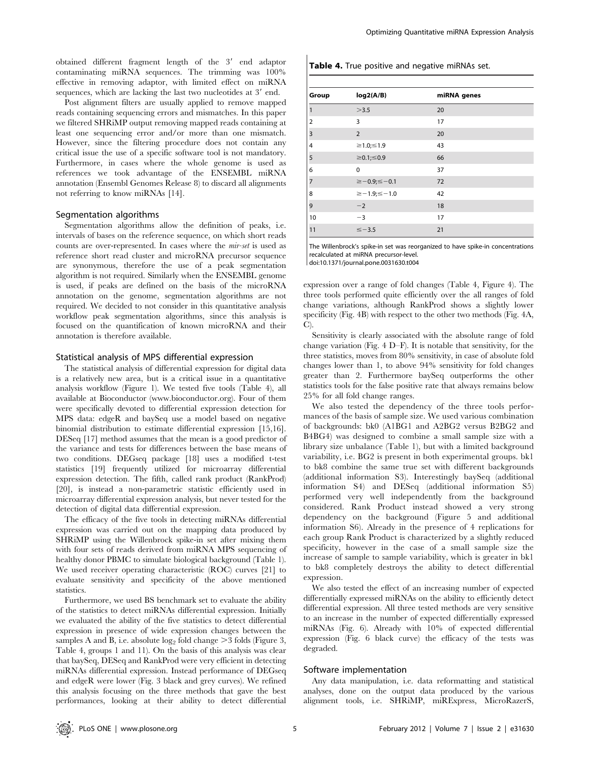obtained different fragment length of the  $3'$  end adaptor contaminating miRNA sequences. The trimming was 100% effective in removing adaptor, with limited effect on miRNA sequences, which are lacking the last two nucleotides at 3' end.

Post alignment filters are usually applied to remove mapped reads containing sequencing errors and mismatches. In this paper we filtered SHRiMP output removing mapped reads containing at least one sequencing error and/or more than one mismatch. However, since the filtering procedure does not contain any critical issue the use of a specific software tool is not mandatory. Furthermore, in cases where the whole genome is used as references we took advantage of the ENSEMBL miRNA annotation (Ensembl Genomes Release 8) to discard all alignments not referring to know miRNAs [14].

#### Segmentation algorithms

Segmentation algorithms allow the definition of peaks, i.e. intervals of bases on the reference sequence, on which short reads counts are over-represented. In cases where the mir-set is used as reference short read cluster and microRNA precursor sequence are synonymous, therefore the use of a peak segmentation algorithm is not required. Similarly when the ENSEMBL genome is used, if peaks are defined on the basis of the microRNA annotation on the genome, segmentation algorithms are not required. We decided to not consider in this quantitative analysis workflow peak segmentation algorithms, since this analysis is focused on the quantification of known microRNA and their annotation is therefore available.

## Statistical analysis of MPS differential expression

The statistical analysis of differential expression for digital data is a relatively new area, but is a critical issue in a quantitative analysis workflow (Figure 1). We tested five tools (Table 4), all available at Bioconductor (www.bioconductor.org). Four of them were specifically devoted to differential expression detection for MPS data: edgeR and baySeq use a model based on negative binomial distribution to estimate differential expression [15,16]. DESeq [17] method assumes that the mean is a good predictor of the variance and tests for differences between the base means of two conditions. DEGseq package [18] uses a modified t-test statistics [19] frequently utilized for microarray differential expression detection. The fifth, called rank product (RankProd) [20], is instead a non-parametric statistic efficiently used in microarray differential expression analysis, but never tested for the detection of digital data differential expression.

The efficacy of the five tools in detecting miRNAs differential expression was carried out on the mapping data produced by SHRiMP using the Willenbrock spike-in set after mixing them with four sets of reads derived from miRNA MPS sequencing of healthy donor PBMC to simulate biological background (Table 1). We used receiver operating characteristic (ROC) curves [21] to evaluate sensitivity and specificity of the above mentioned statistics.

Furthermore, we used BS benchmark set to evaluate the ability of the statistics to detect miRNAs differential expression. Initially we evaluated the ability of the five statistics to detect differential expression in presence of wide expression changes between the samples A and B, i.e. absolute  $log_2$  fold change  $>3$  folds (Figure 3, Table 4, groups 1 and 11). On the basis of this analysis was clear that baySeq, DESeq and RankProd were very efficient in detecting miRNAs differential expression. Instead performance of DEGseq and edgeR were lower (Fig. 3 black and grey curves). We refined this analysis focusing on the three methods that gave the best performances, looking at their ability to detect differential

|  |  |  |  | Table 4. True positive and negative miRNAs set. |  |  |
|--|--|--|--|-------------------------------------------------|--|--|
|--|--|--|--|-------------------------------------------------|--|--|

| Group                   | log2(A/B)               | miRNA genes |
|-------------------------|-------------------------|-------------|
|                         | >3.5                    | 20          |
| $\overline{2}$          | 3                       | 17          |
| $\overline{\mathbf{3}}$ | $\overline{2}$          | 20          |
| $\overline{4}$          | ≥1.0;≤1.9               | 43          |
| 5                       | ≥0.1;≤0.9               | 66          |
| 6                       | $\Omega$                | 37          |
| 7                       | $\ge -0.9$ ; $\le -0.1$ | 72          |
| 8                       | $\ge -1.9$ ; $\le -1.0$ | 42          |
| 9                       | $-2$                    | 18          |
| 10                      | $-3$                    | 17          |
| 11                      | $\le$ -3.5              | 21          |

The Willenbrock's spike-in set was reorganized to have spike-in concentrations recalculated at miRNA precursor-level. doi:10.1371/journal.pone.0031630.t004

expression over a range of fold changes (Table 4, Figure 4). The three tools performed quite efficiently over the all ranges of fold change variations, although RankProd shows a slightly lower specificity (Fig. 4B) with respect to the other two methods (Fig. 4A, C).

Sensitivity is clearly associated with the absolute range of fold change variation (Fig. 4 D–F). It is notable that sensitivity, for the three statistics, moves from 80% sensitivity, in case of absolute fold changes lower than 1, to above 94% sensitivity for fold changes greater than 2. Furthermore baySeq outperforms the other statistics tools for the false positive rate that always remains below 25% for all fold change ranges.

We also tested the dependency of the three tools performances of the basis of sample size. We used various combination of backgrounds: bk0 (A1BG1 and A2BG2 versus B2BG2 and B4BG4) was designed to combine a small sample size with a library size unbalance (Table 1), but with a limited background variability, i.e. BG2 is present in both experimental groups. bk1 to bk8 combine the same true set with different backgrounds (additional information S3). Interestingly baySeq (additional information S4) and DESeq (additional information S5) performed very well independently from the background considered. Rank Product instead showed a very strong dependency on the background (Figure 5 and additional information S6). Already in the presence of 4 replications for each group Rank Product is characterized by a slightly reduced specificity, however in the case of a small sample size the increase of sample to sample variability, which is greater in bk1 to bk8 completely destroys the ability to detect differential expression.

We also tested the effect of an increasing number of expected differentially expressed miRNAs on the ability to efficiently detect differential expression. All three tested methods are very sensitive to an increase in the number of expected differentially expressed miRNAs (Fig. 6). Already with 10% of expected differential expression (Fig. 6 black curve) the efficacy of the tests was degraded.

#### Software implementation

Any data manipulation, i.e. data reformatting and statistical analyses, done on the output data produced by the various alignment tools, i.e. SHRiMP, miRExpress, MicroRazerS,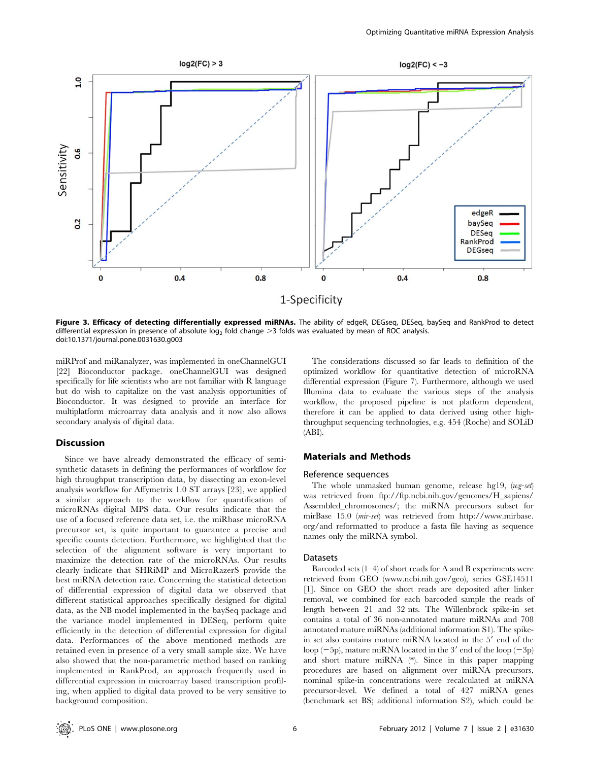

Figure 3. Efficacy of detecting differentially expressed miRNAs. The ability of edgeR, DEGseq, DESeq, baySeq and RankProd to detect differential expression in presence of absolute  $log_2$  fold change  $>3$  folds was evaluated by mean of ROC analysis. doi:10.1371/journal.pone.0031630.g003

miRProf and miRanalyzer, was implemented in oneChannelGUI [22] Bioconductor package. oneChannelGUI was designed specifically for life scientists who are not familiar with R language but do wish to capitalize on the vast analysis opportunities of Bioconductor. It was designed to provide an interface for multiplatform microarray data analysis and it now also allows secondary analysis of digital data.

## Discussion

Since we have already demonstrated the efficacy of semisynthetic datasets in defining the performances of workflow for high throughput transcription data, by dissecting an exon-level analysis workflow for Affymetrix 1.0 ST arrays [23], we applied a similar approach to the workflow for quantification of microRNAs digital MPS data. Our results indicate that the use of a focused reference data set, i.e. the miRbase microRNA precursor set, is quite important to guarantee a precise and specific counts detection. Furthermore, we highlighted that the selection of the alignment software is very important to maximize the detection rate of the microRNAs. Our results clearly indicate that SHRiMP and MicroRazerS provide the best miRNA detection rate. Concerning the statistical detection of differential expression of digital data we observed that different statistical approaches specifically designed for digital data, as the NB model implemented in the baySeq package and the variance model implemented in DESeq, perform quite efficiently in the detection of differential expression for digital data. Performances of the above mentioned methods are retained even in presence of a very small sample size. We have also showed that the non-parametric method based on ranking implemented in RankProd, an approach frequently used in differential expression in microarray based transcription profiling, when applied to digital data proved to be very sensitive to background composition.

The considerations discussed so far leads to definition of the optimized workflow for quantitative detection of microRNA differential expression (Figure 7). Furthermore, although we used Illumina data to evaluate the various steps of the analysis workflow, the proposed pipeline is not platform dependent, therefore it can be applied to data derived using other highthroughput sequencing technologies, e.g. 454 (Roche) and SOLiD (ABI).

## Materials and Methods

#### Reference sequences

The whole unmasked human genome, release hg19, (wg-set) was retrieved from ftp://ftp.ncbi.nih.gov/genomes/H\_sapiens/ Assembled\_chromosomes/; the miRNA precursors subset for mirBase 15.0 (mir-set) was retrieved from http://www.mirbase. org/and reformatted to produce a fasta file having as sequence names only the miRNA symbol.

#### Datasets

Barcoded sets (1–4) of short reads for A and B experiments were retrieved from GEO (www.ncbi.nih.gov/geo), series GSE14511 [1]. Since on GEO the short reads are deposited after linker removal, we combined for each barcoded sample the reads of length between 21 and 32 nts. The Willenbrock spike-in set contains a total of 36 non-annotated mature miRNAs and 708 annotated mature miRNAs (additional information S1). The spikein set also contains mature miRNA located in the 5' end of the loop  $(-5p)$ , mature miRNA located in the 3' end of the loop  $(-3p)$ and short mature miRNA (\*). Since in this paper mapping procedures are based on alignment over miRNA precursors, nominal spike-in concentrations were recalculated at miRNA precursor-level. We defined a total of 427 miRNA genes (benchmark set BS; additional information S2), which could be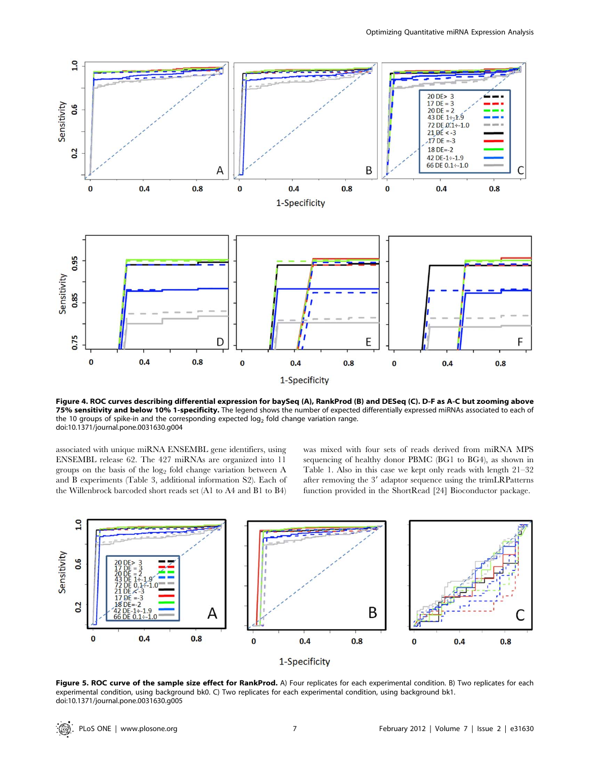

Figure 4. ROC curves describing differential expression for baySeq (A), RankProd (B) and DESeq (C). D-F as A-C but zooming above 75% sensitivity and below 10% 1-specificity. The legend shows the number of expected differentially expressed miRNAs associated to each of the 10 groups of spike-in and the corresponding expected  $log<sub>2</sub>$  fold change variation range. doi:10.1371/journal.pone.0031630.g004

associated with unique miRNA ENSEMBL gene identifiers, using ENSEMBL release 62. The 427 miRNAs are organized into 11 groups on the basis of the  $log_2$  fold change variation between A and B experiments (Table 3, additional information S2). Each of the Willenbrock barcoded short reads set (A1 to A4 and B1 to B4) was mixed with four sets of reads derived from miRNA MPS sequencing of healthy donor PBMC (BG1 to BG4), as shown in Table 1. Also in this case we kept only reads with length 21–32 after removing the 3' adaptor sequence using the trimLRPatterns function provided in the ShortRead [24] Bioconductor package.



Figure 5. ROC curve of the sample size effect for RankProd. A) Four replicates for each experimental condition. B) Two replicates for each experimental condition, using background bk0. C) Two replicates for each experimental condition, using background bk1. doi:10.1371/journal.pone.0031630.g005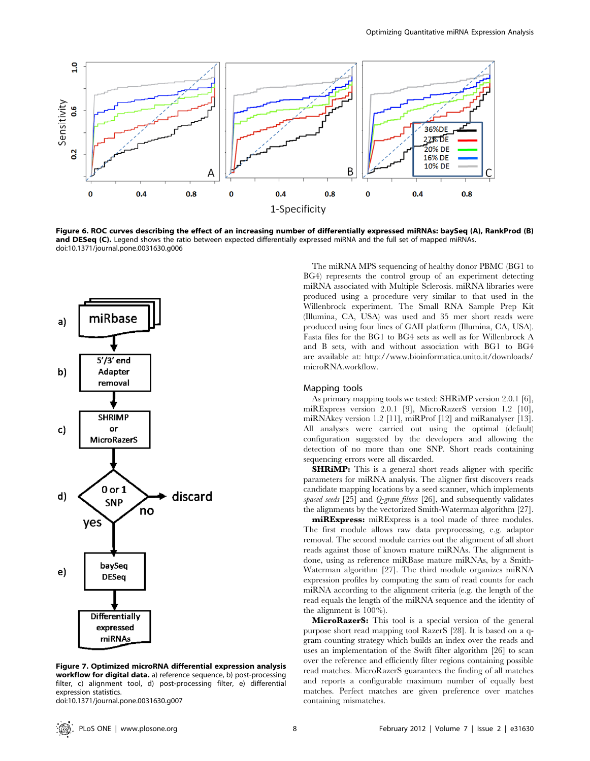

Figure 6. ROC curves describing the effect of an increasing number of differentially expressed miRNAs: baySeq (A), RankProd (B) and DESeq (C). Legend shows the ratio between expected differentially expressed miRNA and the full set of mapped miRNAs. doi:10.1371/journal.pone.0031630.g006



Figure 7. Optimized microRNA differential expression analysis workflow for digital data. a) reference sequence, b) post-processing filter, c) alignment tool, d) post-processing filter, e) differential expression statistics.

doi:10.1371/journal.pone.0031630.g007

The miRNA MPS sequencing of healthy donor PBMC (BG1 to BG4) represents the control group of an experiment detecting miRNA associated with Multiple Sclerosis. miRNA libraries were produced using a procedure very similar to that used in the Willenbrock experiment. The Small RNA Sample Prep Kit (Illumina, CA, USA) was used and 35 mer short reads were produced using four lines of GAII platform (Illumina, CA, USA). Fasta files for the BG1 to BG4 sets as well as for Willenbrock A and B sets, with and without association with BG1 to BG4 are available at: http://www.bioinformatica.unito.it/downloads/ microRNA.workflow.

## Mapping tools

As primary mapping tools we tested: SHRiMP version 2.0.1 [6], miRExpress version 2.0.1 [9], MicroRazerS version 1.2 [10], miRNAkey version 1.2 [11], miRProf [12] and miRanalyser [13]. All analyses were carried out using the optimal (default) configuration suggested by the developers and allowing the detection of no more than one SNP. Short reads containing sequencing errors were all discarded.

**SHRIMP:** This is a general short reads aligner with specific parameters for miRNA analysis. The aligner first discovers reads candidate mapping locations by a seed scanner, which implements spaced seeds  $[25]$  and  $Q$ -gram filters  $[26]$ , and subsequently validates the alignments by the vectorized Smith-Waterman algorithm [27].

miRExpress: miRExpress is a tool made of three modules. The first module allows raw data preprocessing, e.g. adaptor removal. The second module carries out the alignment of all short reads against those of known mature miRNAs. The alignment is done, using as reference miRBase mature miRNAs, by a Smith-Waterman algorithm [27]. The third module organizes miRNA expression profiles by computing the sum of read counts for each miRNA according to the alignment criteria (e.g. the length of the read equals the length of the miRNA sequence and the identity of the alignment is 100%).

**MicroRazerS:** This tool is a special version of the general purpose short read mapping tool RazerS [28]. It is based on a qgram counting strategy which builds an index over the reads and uses an implementation of the Swift filter algorithm [26] to scan over the reference and efficiently filter regions containing possible read matches. MicroRazerS guarantees the finding of all matches and reports a configurable maximum number of equally best matches. Perfect matches are given preference over matches containing mismatches.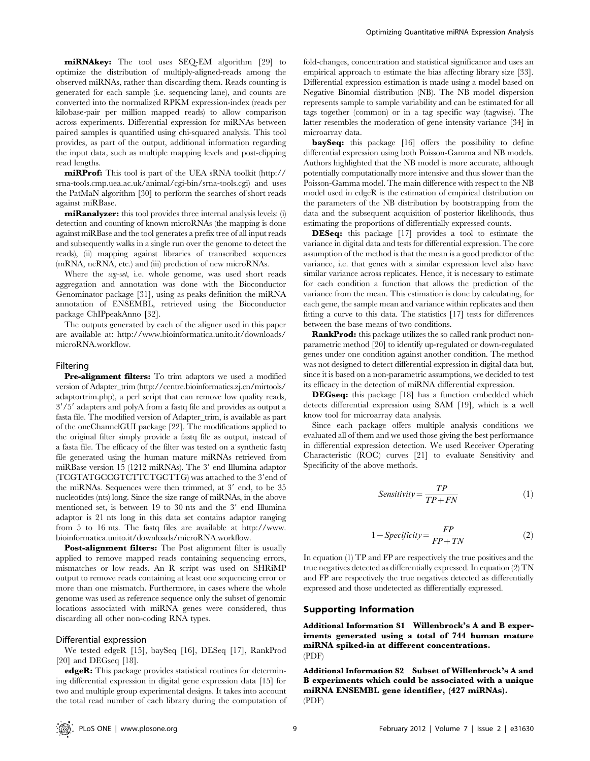miRNAkey: The tool uses SEQ-EM algorithm [29] to optimize the distribution of multiply-aligned-reads among the observed miRNAs, rather than discarding them. Reads counting is generated for each sample (i.e. sequencing lane), and counts are converted into the normalized RPKM expression-index (reads per kilobase-pair per million mapped reads) to allow comparison across experiments. Differential expression for miRNAs between paired samples is quantified using chi-squared analysis. This tool provides, as part of the output, additional information regarding the input data, such as multiple mapping levels and post-clipping read lengths.

miRProf: This tool is part of the UEA sRNA toolkit (http:// srna-tools.cmp.uea.ac.uk/animal/cgi-bin/srna-tools.cgi) and uses the PatMaN algorithm [30] to perform the searches of short reads against miRBase.

miRanalyzer: this tool provides three internal analysis levels: (i) detection and counting of known microRNAs (the mapping is done against miRBase and the tool generates a prefix tree of all input reads and subsequently walks in a single run over the genome to detect the reads), (ii) mapping against libraries of transcribed sequences (mRNA, ncRNA, etc.) and (iii) prediction of new microRNAs.

Where the *wg-set*, i.e. whole genome, was used short reads aggregation and annotation was done with the Bioconductor Genominator package [31], using as peaks definition the miRNA annotation of ENSEMBL, retrieved using the Bioconductor package ChIPpeakAnno [32].

The outputs generated by each of the aligner used in this paper are available at: http://www.bioinformatica.unito.it/downloads/ microRNA.workflow.

#### Filtering

Pre-alignment filters: To trim adaptors we used a modified version of Adapter\_trim (http://centre.bioinformatics.zj.cn/mirtools/ adaptortrim.php), a perl script that can remove low quality reads,  $3'/5'$  adapters and polyA from a fastq file and provides as output a fasta file. The modified version of Adapter\_trim, is available as part of the oneChannelGUI package [22]. The modifications applied to the original filter simply provide a fastq file as output, instead of a fasta file. The efficacy of the filter was tested on a synthetic fastq file generated using the human mature miRNAs retrieved from miRBase version 15 (1212 miRNAs). The 3' end Illumina adaptor (TCGTATGCCGTCTTCTGCTTG) was attached to the 3'end of the miRNAs. Sequences were then trimmed, at  $3'$  end, to be  $35$ nucleotides (nts) long. Since the size range of miRNAs, in the above mentioned set, is between  $19$  to  $30$  nts and the  $3'$  end Illumina adaptor is 21 nts long in this data set contains adaptor ranging from 5 to 16 nts. The fastq files are available at http://www. bioinformatica.unito.it/downloads/microRNA.workflow.

Post-alignment filters: The Post alignment filter is usually applied to remove mapped reads containing sequencing errors, mismatches or low reads. An R script was used on SHRiMP output to remove reads containing at least one sequencing error or more than one mismatch. Furthermore, in cases where the whole genome was used as reference sequence only the subset of genomic locations associated with miRNA genes were considered, thus discarding all other non-coding RNA types.

## Differential expression

We tested edgeR [15], baySeq [16], DESeq [17], RankProd [20] and DEGseq [18].

edgeR: This package provides statistical routines for determining differential expression in digital gene expression data [15] for two and multiple group experimental designs. It takes into account the total read number of each library during the computation of fold-changes, concentration and statistical significance and uses an empirical approach to estimate the bias affecting library size [33]. Differential expression estimation is made using a model based on Negative Binomial distribution (NB). The NB model dispersion represents sample to sample variability and can be estimated for all tags together (common) or in a tag specific way (tagwise). The latter resembles the moderation of gene intensity variance [34] in microarray data.

baySeq: this package [16] offers the possibility to define differential expression using both Poisson-Gamma and NB models. Authors highlighted that the NB model is more accurate, although potentially computationally more intensive and thus slower than the Poisson-Gamma model. The main difference with respect to the NB model used in edgeR is the estimation of empirical distribution on the parameters of the NB distribution by bootstrapping from the data and the subsequent acquisition of posterior likelihoods, thus estimating the proportions of differentially expressed counts.

DESeq: this package [17] provides a tool to estimate the variance in digital data and tests for differential expression. The core assumption of the method is that the mean is a good predictor of the variance, i.e. that genes with a similar expression level also have similar variance across replicates. Hence, it is necessary to estimate for each condition a function that allows the prediction of the variance from the mean. This estimation is done by calculating, for each gene, the sample mean and variance within replicates and then fitting a curve to this data. The statistics [17] tests for differences between the base means of two conditions.

RankProd: this package utilizes the so called rank product nonparametric method [20] to identify up-regulated or down-regulated genes under one condition against another condition. The method was not designed to detect differential expression in digital data but, since it is based on a non-parametric assumptions, we decided to test its efficacy in the detection of miRNA differential expression.

**DEGseq:** this package [18] has a function embedded which detects differential expression using SAM [19], which is a well know tool for microarray data analysis.

Since each package offers multiple analysis conditions we evaluated all of them and we used those giving the best performance in differential expression detection. We used Receiver Operating Characteristic (ROC) curves [21] to evaluate Sensitivity and Specificity of the above methods.

$$
Sensitivity = \frac{TP}{TP + FN}
$$
 (1)

$$
1 - Specificity = \frac{FP}{FP + TN}
$$
 (2)

In equation (1) TP and FP are respectively the true positives and the true negatives detected as differentially expressed. In equation (2) TN and FP are respectively the true negatives detected as differentially expressed and those undetected as differentially expressed.

#### Supporting Information

Additional Information S1 Willenbrock's A and B experiments generated using a total of 744 human mature miRNA spiked-in at different concentrations. (PDF)

Additional Information S2 Subset of Willenbrock's A and B experiments which could be associated with a unique miRNA ENSEMBL gene identifier, (427 miRNAs). (PDF)